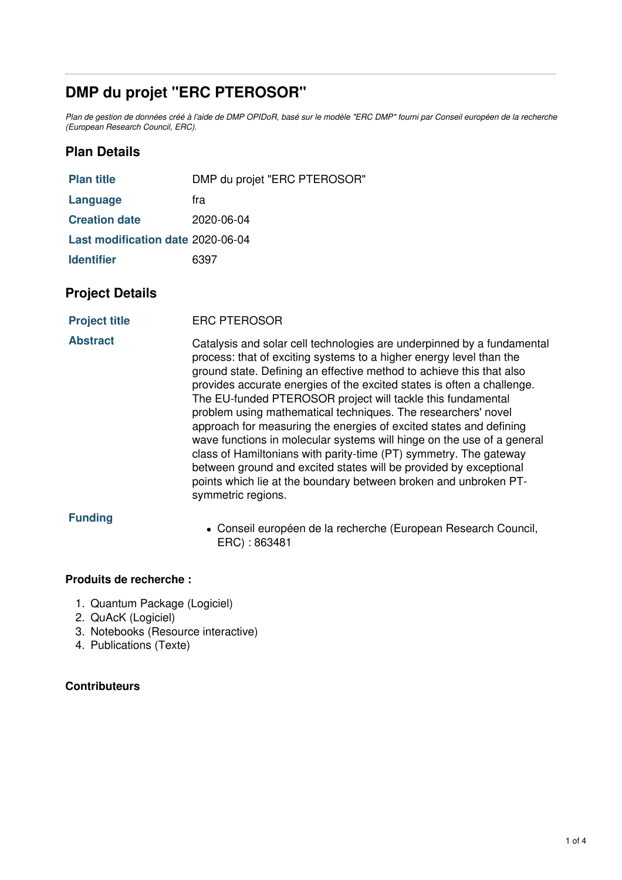## **DMP du projet "ERC PTEROSOR"**

Plan de gestion de données créé à l'aide de DMP OPIDoR, basé sur le modèle "ERC DMP" fourni par Conseil européen de la recherche *(European Research Council, ERC).*

### **Plan Details**

| <b>Plan title</b>                 | DMP du projet "ERC PTEROSOR" |
|-----------------------------------|------------------------------|
| Language                          | fra                          |
| <b>Creation date</b>              | 2020-06-04                   |
| Last modification date 2020-06-04 |                              |
| <b>Identifier</b>                 | 6397                         |

#### **Project Details**

**Project title** ERC PTEROSOR

**Abstract** Catalysis and solar cell technologies are underpinned by a fundamental process: that of exciting systems to a higher energy level than the ground state. Defining an effective method to achieve this that also provides accurate energies of the excited states is often a challenge. The EU-funded PTEROSOR project will tackle this fundamental problem using mathematical techniques. The researchers' novel approach for measuring the energies of excited states and defining wave functions in molecular systems will hinge on the use of a general class of Hamiltonians with parity-time (PT) symmetry. The gateway between ground and excited states will be provided by exceptional points which lie at the boundary between broken and unbroken PTsymmetric regions.

#### **Funding**

Conseil européen de la recherche (European Research Council, ERC) : 863481

#### **Produits de recherche :**

- 1. Quantum Package (Logiciel)
- 2. QuAcK (Logiciel)
- 3. Notebooks (Resource interactive)
- 4. Publications (Texte)

#### **Contributeurs**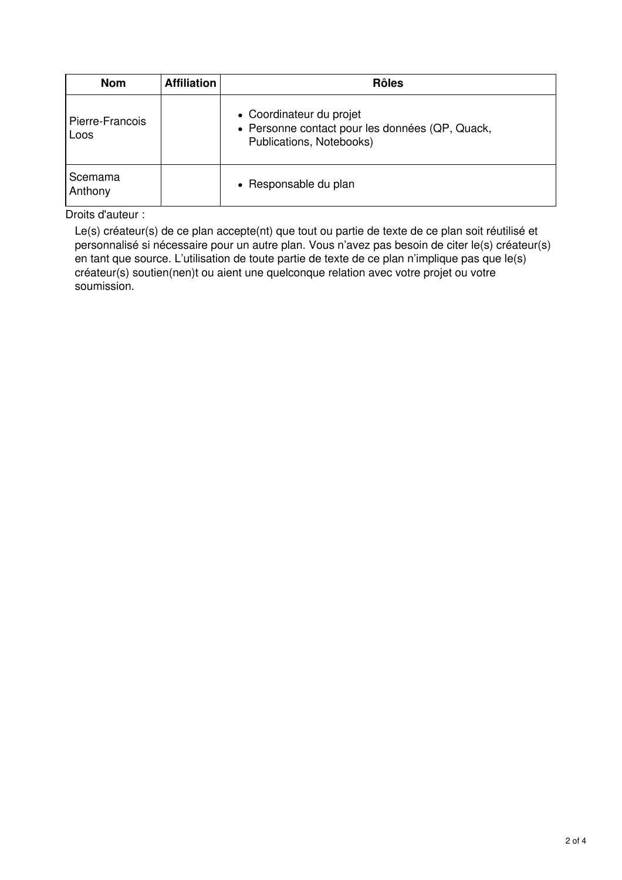| <b>Nom</b>              | <b>Affiliation</b> | <b>Rôles</b>                                                                                            |
|-------------------------|--------------------|---------------------------------------------------------------------------------------------------------|
| Pierre-Francois<br>Loos |                    | • Coordinateur du projet<br>• Personne contact pour les données (QP, Quack,<br>Publications, Notebooks) |
| Scemama<br>Anthony      |                    | • Responsable du plan                                                                                   |

Droits d'auteur :

Le(s) créateur(s) de ce plan accepte(nt) que tout ou partie de texte de ce plan soit réutilisé et personnalisé si nécessaire pour un autre plan. Vous n'avez pas besoin de citer le(s) créateur(s) en tant que source. L'utilisation de toute partie de texte de ce plan n'implique pas que le(s) créateur(s) soutien(nen)t ou aient une quelconque relation avec votre projet ou votre soumission.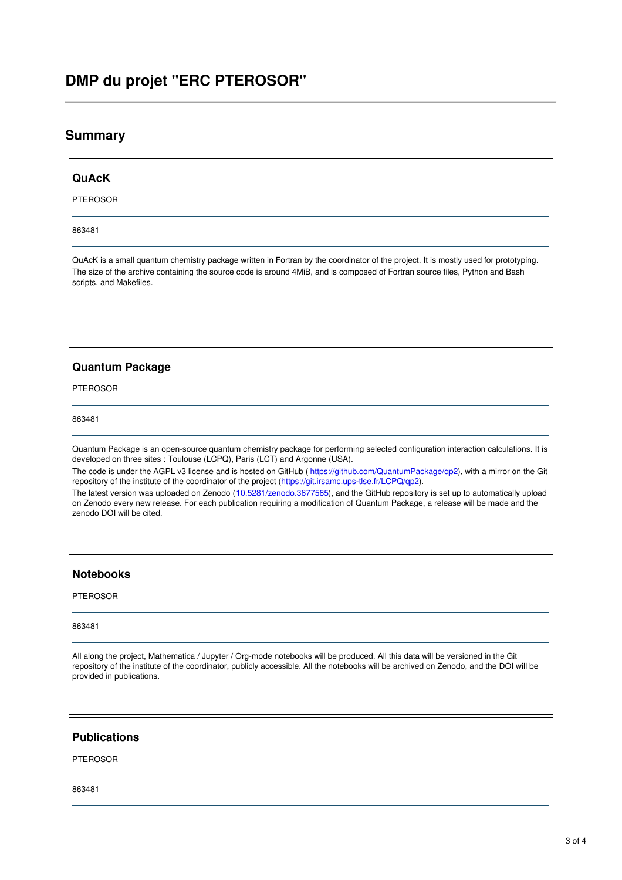# **DMP du projet "ERC PTEROSOR"**

## **Summary**

| <b>QuAcK</b>                                                                                                                                                                                                                                                                                                                                                                                                                                                                                                                                                                                                                                                                                                                                                    |
|-----------------------------------------------------------------------------------------------------------------------------------------------------------------------------------------------------------------------------------------------------------------------------------------------------------------------------------------------------------------------------------------------------------------------------------------------------------------------------------------------------------------------------------------------------------------------------------------------------------------------------------------------------------------------------------------------------------------------------------------------------------------|
| <b>PTEROSOR</b>                                                                                                                                                                                                                                                                                                                                                                                                                                                                                                                                                                                                                                                                                                                                                 |
| 863481                                                                                                                                                                                                                                                                                                                                                                                                                                                                                                                                                                                                                                                                                                                                                          |
| QuAcK is a small quantum chemistry package written in Fortran by the coordinator of the project. It is mostly used for prototyping.<br>The size of the archive containing the source code is around 4MiB, and is composed of Fortran source files, Python and Bash<br>scripts, and Makefiles.                                                                                                                                                                                                                                                                                                                                                                                                                                                                   |
|                                                                                                                                                                                                                                                                                                                                                                                                                                                                                                                                                                                                                                                                                                                                                                 |
| <b>Quantum Package</b>                                                                                                                                                                                                                                                                                                                                                                                                                                                                                                                                                                                                                                                                                                                                          |
| <b>PTEROSOR</b>                                                                                                                                                                                                                                                                                                                                                                                                                                                                                                                                                                                                                                                                                                                                                 |
| 863481                                                                                                                                                                                                                                                                                                                                                                                                                                                                                                                                                                                                                                                                                                                                                          |
| Quantum Package is an open-source quantum chemistry package for performing selected configuration interaction calculations. It is<br>developed on three sites : Toulouse (LCPQ), Paris (LCT) and Argonne (USA).<br>The code is under the AGPL v3 license and is hosted on GitHub (https://github.com/QuantumPackage/qp2), with a mirror on the Git<br>repository of the institute of the coordinator of the project (https://git.irsamc.ups-tlse.fr/LCPQ/qp2).<br>The latest version was uploaded on Zenodo (10.5281/zenodo.3677565), and the GitHub repository is set up to automatically upload<br>on Zenodo every new release. For each publication requiring a modification of Quantum Package, a release will be made and the<br>zenodo DOI will be cited. |
| <b>Notebooks</b>                                                                                                                                                                                                                                                                                                                                                                                                                                                                                                                                                                                                                                                                                                                                                |
| <b>PTEROSOR</b>                                                                                                                                                                                                                                                                                                                                                                                                                                                                                                                                                                                                                                                                                                                                                 |
| 863481                                                                                                                                                                                                                                                                                                                                                                                                                                                                                                                                                                                                                                                                                                                                                          |
| All along the project, Mathematica / Jupyter / Org-mode notebooks will be produced. All this data will be versioned in the Git<br>repository of the institute of the coordinator, publicly accessible. All the notebooks will be archived on Zenodo, and the DOI will be<br>provided in publications.                                                                                                                                                                                                                                                                                                                                                                                                                                                           |
| <b>Publications</b>                                                                                                                                                                                                                                                                                                                                                                                                                                                                                                                                                                                                                                                                                                                                             |
| <b>PTEROSOR</b>                                                                                                                                                                                                                                                                                                                                                                                                                                                                                                                                                                                                                                                                                                                                                 |
| 863481                                                                                                                                                                                                                                                                                                                                                                                                                                                                                                                                                                                                                                                                                                                                                          |